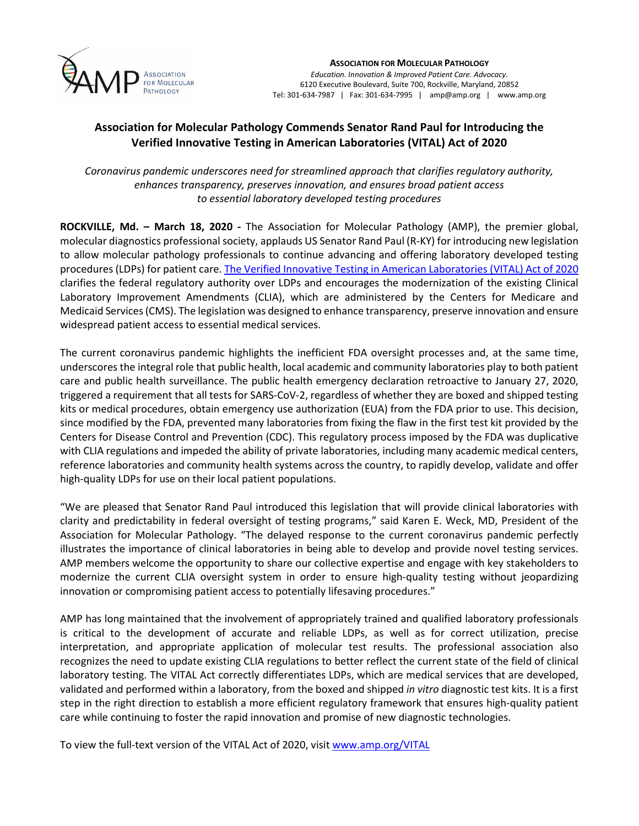

**ASSOCIATION FOR MOLECULAR PATHOLOGY** *Education. Innovation & Improved Patient Care. Advocacy.* 6120 Executive Boulevard, Suite 700, Rockville, Maryland, 20852 Tel: 301-634-7987 | Fax: 301-634-7995 | amp@amp.org | www.amp.org

## **Association for Molecular Pathology Commends Senator Rand Paul for Introducing the Verified Innovative Testing in American Laboratories (VITAL) Act of 2020**

*Coronavirus pandemic underscores need for streamlined approach that clarifies regulatory authority, enhances transparency, preserves innovation, and ensures broad patient access to essential laboratory developed testing procedures*

**ROCKVILLE, Md. – March 18, 2020 -** The Association for Molecular Pathology (AMP), the premier global, molecular diagnostics professional society, applauds US Senator Rand Paul (R-KY) for introducing new legislation to allow molecular pathology professionals to continue advancing and offering laboratory developed testing procedures (LDPs) for patient care. The Verified Innovative Testing in American [Laboratories](https://www.amp.org/AMP/assets/File/advocacy/VITAL_2020.pdf) (VITAL) Act of 2020 clarifies the federal regulatory authority over LDPs and encourages the modernization of the existing Clinical Laboratory Improvement Amendments (CLIA), which are administered by the Centers for Medicare and Medicaid Services(CMS). The legislation was designed to enhance transparency, preserve innovation and ensure widespread patient access to essential medical services.

The current coronavirus pandemic highlights the inefficient FDA oversight processes and, at the same time, underscores the integral role that public health, local academic and community laboratories play to both patient care and public health surveillance. The public health emergency declaration retroactive to January 27, 2020, triggered a requirement that all tests for SARS-CoV-2, regardless of whether they are boxed and shipped testing kits or medical procedures, obtain emergency use authorization (EUA) from the FDA prior to use. This decision, since modified by the FDA, prevented many laboratories from fixing the flaw in the first test kit provided by the Centers for Disease Control and Prevention (CDC). This regulatory process imposed by the FDA was duplicative with CLIA regulations and impeded the ability of private laboratories, including many academic medical centers, reference laboratories and community health systems across the country, to rapidly develop, validate and offer high-quality LDPs for use on their local patient populations.

"We are pleased that Senator Rand Paul introduced this legislation that will provide clinical laboratories with clarity and predictability in federal oversight of testing programs," said Karen E. Weck, MD, President of the Association for Molecular Pathology. "The delayed response to the current coronavirus pandemic perfectly illustrates the importance of clinical laboratories in being able to develop and provide novel testing services. AMP members welcome the opportunity to share our collective expertise and engage with key stakeholders to modernize the current CLIA oversight system in order to ensure high-quality testing without jeopardizing innovation or compromising patient access to potentially lifesaving procedures."

AMP has long maintained that the involvement of appropriately trained and qualified laboratory professionals is critical to the development of accurate and reliable LDPs, as well as for correct utilization, precise interpretation, and appropriate application of molecular test results. The professional association also recognizes the need to update existing CLIA regulations to better reflect the current state of the field of clinical laboratory testing. The VITAL Act correctly differentiates LDPs, which are medical services that are developed, validated and performed within a laboratory, from the boxed and shipped *in vitro* diagnostic test kits. It is a first step in the right direction to establish a more efficient regulatory framework that ensures high-quality patient care while continuing to foster the rapid innovation and promise of new diagnostic technologies.

To view the full-text version of the VITAL Act of 2020, visit [www.amp.org/VITAL](https://www.amp.org/AMP/assets/File/advocacy/VITAL_2020.pdf)